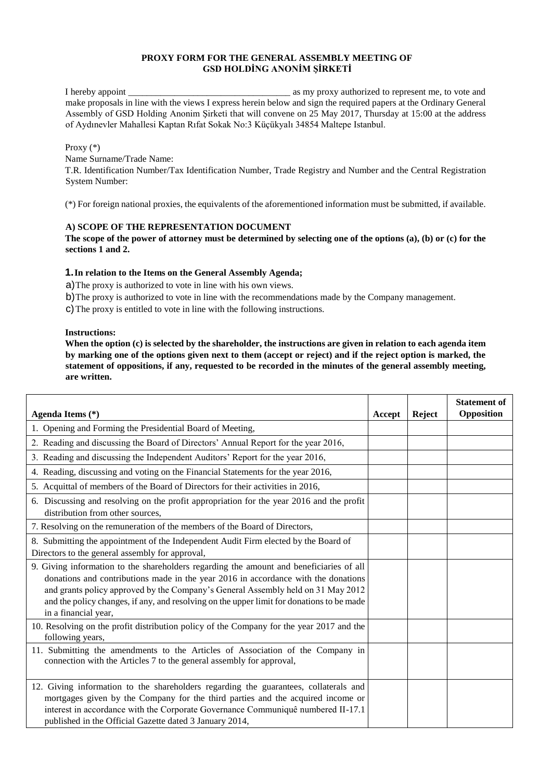### **PROXY FORM FOR THE GENERAL ASSEMBLY MEETING OF GSD HOLDİNG ANONİM ŞİRKETİ**

I hereby appoint and a set of the same proxy authorized to represent me, to vote and make proposals in line with the views I express herein below and sign the required papers at the Ordinary General Assembly of GSD Holding Anonim Şirketi that will convene on 25 May 2017, Thursday at 15:00 at the address of Aydınevler Mahallesi Kaptan Rıfat Sokak No:3 Küçükyalı 34854 Maltepe Istanbul.

Proxy (\*)

Name Surname/Trade Name: T.R. Identification Number/Tax Identification Number, Trade Registry and Number and the Central Registration System Number:

(\*) For foreign national proxies, the equivalents of the aforementioned information must be submitted, if available.

# **A) SCOPE OF THE REPRESENTATION DOCUMENT**

**The scope of the power of attorney must be determined by selecting one of the options (a), (b) or (c) for the sections 1 and 2.** 

# **1.In relation to the Items on the General Assembly Agenda;**

a)The proxy is authorized to vote in line with his own views.

b)The proxy is authorized to vote in line with the recommendations made by the Company management.

c)The proxy is entitled to vote in line with the following instructions.

### **Instructions:**

**When the option (c) is selected by the shareholder, the instructions are given in relation to each agenda item by marking one of the options given next to them (accept or reject) and if the reject option is marked, the statement of oppositions, if any, requested to be recorded in the minutes of the general assembly meeting, are written.** 

| Agenda Items (*)                                                                                                                                                                                                                                                                                                                                                                       | Accept | Reject | <b>Statement of</b><br>Opposition |
|----------------------------------------------------------------------------------------------------------------------------------------------------------------------------------------------------------------------------------------------------------------------------------------------------------------------------------------------------------------------------------------|--------|--------|-----------------------------------|
| 1. Opening and Forming the Presidential Board of Meeting,                                                                                                                                                                                                                                                                                                                              |        |        |                                   |
| 2. Reading and discussing the Board of Directors' Annual Report for the year 2016,                                                                                                                                                                                                                                                                                                     |        |        |                                   |
| 3. Reading and discussing the Independent Auditors' Report for the year 2016,                                                                                                                                                                                                                                                                                                          |        |        |                                   |
| 4. Reading, discussing and voting on the Financial Statements for the year 2016,                                                                                                                                                                                                                                                                                                       |        |        |                                   |
| 5. Acquittal of members of the Board of Directors for their activities in 2016,                                                                                                                                                                                                                                                                                                        |        |        |                                   |
| 6. Discussing and resolving on the profit appropriation for the year 2016 and the profit<br>distribution from other sources,                                                                                                                                                                                                                                                           |        |        |                                   |
| 7. Resolving on the remuneration of the members of the Board of Directors,                                                                                                                                                                                                                                                                                                             |        |        |                                   |
| 8. Submitting the appointment of the Independent Audit Firm elected by the Board of<br>Directors to the general assembly for approval,                                                                                                                                                                                                                                                 |        |        |                                   |
| 9. Giving information to the shareholders regarding the amount and beneficiaries of all<br>donations and contributions made in the year 2016 in accordance with the donations<br>and grants policy approved by the Company's General Assembly held on 31 May 2012<br>and the policy changes, if any, and resolving on the upper limit for donations to be made<br>in a financial year, |        |        |                                   |
| 10. Resolving on the profit distribution policy of the Company for the year 2017 and the<br>following years,                                                                                                                                                                                                                                                                           |        |        |                                   |
| 11. Submitting the amendments to the Articles of Association of the Company in<br>connection with the Articles 7 to the general assembly for approval,                                                                                                                                                                                                                                 |        |        |                                   |
| 12. Giving information to the shareholders regarding the guarantees, collaterals and<br>mortgages given by the Company for the third parties and the acquired income or<br>interest in accordance with the Corporate Governance Communiquê numbered II-17.1<br>published in the Official Gazette dated 3 January 2014,                                                                 |        |        |                                   |